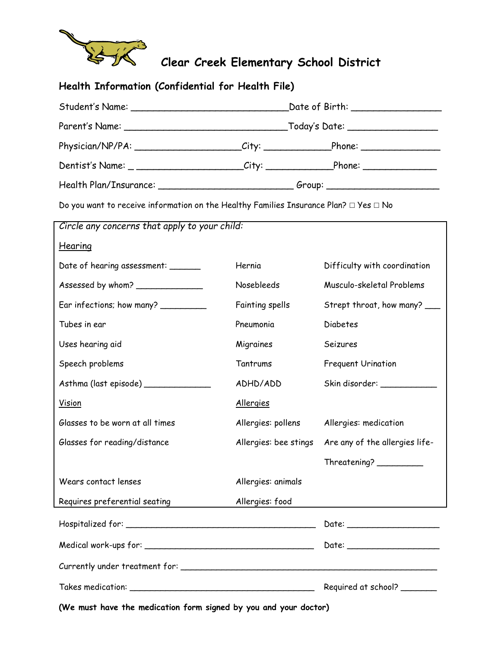

| Health Information (Confidential for Health File)                                               |                                                                                  |                                |  |  |
|-------------------------------------------------------------------------------------------------|----------------------------------------------------------------------------------|--------------------------------|--|--|
|                                                                                                 |                                                                                  |                                |  |  |
|                                                                                                 |                                                                                  |                                |  |  |
| Physician/NP/PA: _____________________City: ____________________Phone: __________               |                                                                                  |                                |  |  |
| Dentist's Name: _ ______________________City: _____________________Phone: ______________        |                                                                                  |                                |  |  |
|                                                                                                 | Health Plan/Insurance: _________________________________Group: _________________ |                                |  |  |
| Do you want to receive information on the Healthy Families Insurance Plan? $\Box$ Yes $\Box$ No |                                                                                  |                                |  |  |
| Circle any concerns that apply to your child:                                                   |                                                                                  |                                |  |  |
| Hearing                                                                                         |                                                                                  |                                |  |  |
| Date of hearing assessment: ______                                                              | Hernia                                                                           | Difficulty with coordination   |  |  |
| Assessed by whom?                                                                               | Nosebleeds                                                                       | Musculo-skeletal Problems      |  |  |
| Ear infections; how many?                                                                       | Fainting spells                                                                  | Strept throat, how many? ___   |  |  |
| Tubes in ear                                                                                    | Pneumonia                                                                        | <b>Diabetes</b>                |  |  |
| Uses hearing aid                                                                                | Migraines                                                                        | Seizures                       |  |  |
| Speech problems                                                                                 | Tantrums                                                                         | <b>Frequent Urination</b>      |  |  |
| Asthma (last episode) ______________                                                            | ADHD/ADD                                                                         | Skin disorder: ____________    |  |  |
| <u>Vision</u>                                                                                   | <b>Allergies</b>                                                                 |                                |  |  |
| Glasses to be worn at all times                                                                 | Allergies: pollens                                                               | Allergies: medication          |  |  |
| Glasses for reading/distance                                                                    | Allergies: bee stings                                                            | Are any of the allergies life- |  |  |
|                                                                                                 |                                                                                  | Threeatening?                  |  |  |
| Wears contact lenses                                                                            | Allergies: animals                                                               |                                |  |  |
| Requires preferential seating                                                                   | Allergies: food                                                                  |                                |  |  |
|                                                                                                 |                                                                                  |                                |  |  |
|                                                                                                 |                                                                                  |                                |  |  |
|                                                                                                 |                                                                                  |                                |  |  |
|                                                                                                 |                                                                                  | Required at school? _______    |  |  |

**(We must have the medication form signed by you and your doctor)**